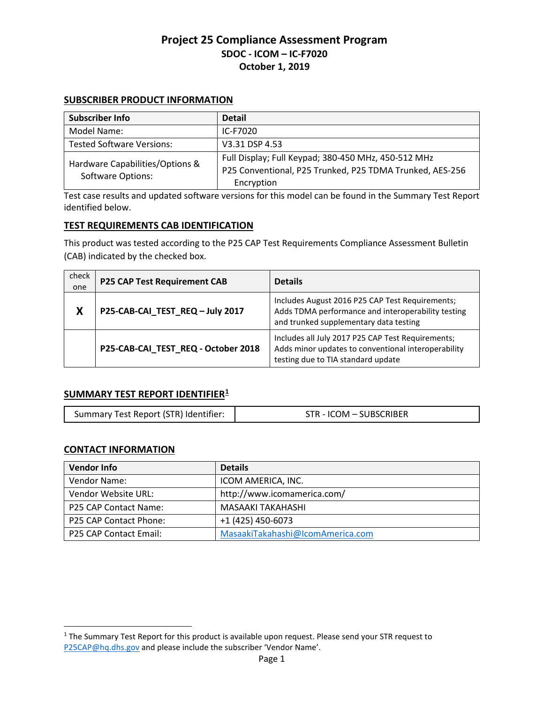### **SUBSCRIBER PRODUCT INFORMATION**

| Subscriber Info                                             | <b>Detail</b>                                            |
|-------------------------------------------------------------|----------------------------------------------------------|
| Model Name:                                                 | IC-F7020                                                 |
| <b>Tested Software Versions:</b>                            | V3.31 DSP 4.53                                           |
| Hardware Capabilities/Options &<br><b>Software Options:</b> | Full Display; Full Keypad; 380-450 MHz, 450-512 MHz      |
|                                                             | P25 Conventional, P25 Trunked, P25 TDMA Trunked, AES-256 |
|                                                             | Encryption                                               |

Test case results and updated software versions for this model can be found in the Summary Test Report identified below.

### **TEST REQUIREMENTS CAB IDENTIFICATION**

This product was tested according to the P25 CAP Test Requirements Compliance Assessment Bulletin (CAB) indicated by the checked box.

| check<br>one | <b>P25 CAP Test Requirement CAB</b> | <b>Details</b>                                                                                                                                  |
|--------------|-------------------------------------|-------------------------------------------------------------------------------------------------------------------------------------------------|
| X            | P25-CAB-CAI_TEST_REQ-July 2017      | Includes August 2016 P25 CAP Test Requirements;<br>Adds TDMA performance and interoperability testing<br>and trunked supplementary data testing |
|              | P25-CAB-CAI_TEST_REQ - October 2018 | Includes all July 2017 P25 CAP Test Requirements;<br>Adds minor updates to conventional interoperability<br>testing due to TIA standard update  |

### **SUMMARY TEST REPORT IDENTIFIER[1](#page-0-0)**

| Summary Test Report (STR) Identifier: | STR - ICOM - SUBSCRIBER |
|---------------------------------------|-------------------------|
|---------------------------------------|-------------------------|

#### **CONTACT INFORMATION**

| <b>Vendor Info</b>            | <b>Details</b>                   |
|-------------------------------|----------------------------------|
| Vendor Name:                  | ICOM AMERICA, INC.               |
| Vendor Website URL:           | http://www.icomamerica.com/      |
| P25 CAP Contact Name:         | MASAAKI TAKAHASHI                |
| P25 CAP Contact Phone:        | +1 (425) 450-6073                |
| <b>P25 CAP Contact Email:</b> | MasaakiTakahashi@IcomAmerica.com |

<span id="page-0-0"></span><sup>&</sup>lt;sup>1</sup> The Summary Test Report for this product is available upon request. Please send your STR request to [P25CAP@hq.dhs.gov](mailto:P25CAP@hq.dhs.gov) and please include the subscriber 'Vendor Name'.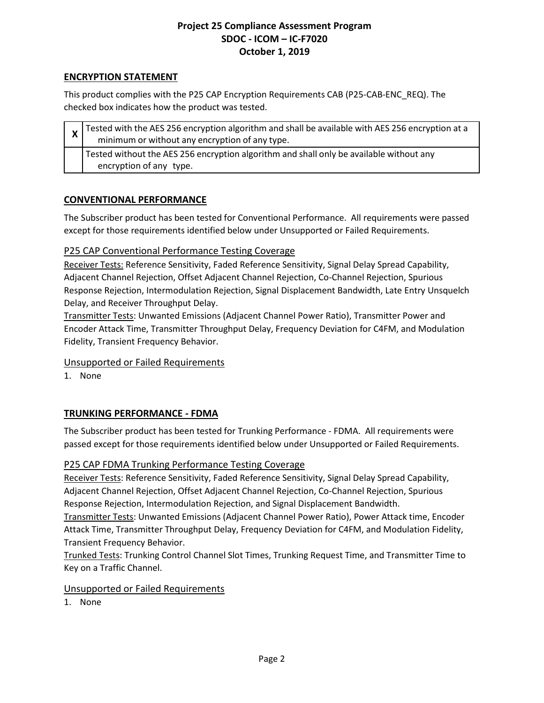## **ENCRYPTION STATEMENT**

This product complies with the P25 CAP Encryption Requirements CAB (P25-CAB-ENC\_REQ). The checked box indicates how the product was tested.

| $\mathbf{x}$ Tested with the AES 256 encryption algorithm and shall be available with AES 256 encryption at a<br>minimum or without any encryption of any type. |
|-----------------------------------------------------------------------------------------------------------------------------------------------------------------|
| Tested without the AES 256 encryption algorithm and shall only be available without any<br>encryption of any type.                                              |

## **CONVENTIONAL PERFORMANCE**

The Subscriber product has been tested for Conventional Performance. All requirements were passed except for those requirements identified below under Unsupported or Failed Requirements.

## P25 CAP Conventional Performance Testing Coverage

Receiver Tests: Reference Sensitivity, Faded Reference Sensitivity, Signal Delay Spread Capability, Adjacent Channel Rejection, Offset Adjacent Channel Rejection, Co-Channel Rejection, Spurious Response Rejection, Intermodulation Rejection, Signal Displacement Bandwidth, Late Entry Unsquelch Delay, and Receiver Throughput Delay.

Transmitter Tests: Unwanted Emissions (Adjacent Channel Power Ratio), Transmitter Power and Encoder Attack Time, Transmitter Throughput Delay, Frequency Deviation for C4FM, and Modulation Fidelity, Transient Frequency Behavior.

### Unsupported or Failed Requirements

1. None

# **TRUNKING PERFORMANCE - FDMA**

The Subscriber product has been tested for Trunking Performance - FDMA. All requirements were passed except for those requirements identified below under Unsupported or Failed Requirements.

# P25 CAP FDMA Trunking Performance Testing Coverage

Receiver Tests: Reference Sensitivity, Faded Reference Sensitivity, Signal Delay Spread Capability, Adjacent Channel Rejection, Offset Adjacent Channel Rejection, Co-Channel Rejection, Spurious Response Rejection, Intermodulation Rejection, and Signal Displacement Bandwidth.

Transmitter Tests: Unwanted Emissions (Adjacent Channel Power Ratio), Power Attack time, Encoder Attack Time, Transmitter Throughput Delay, Frequency Deviation for C4FM, and Modulation Fidelity, Transient Frequency Behavior.

Trunked Tests: Trunking Control Channel Slot Times, Trunking Request Time, and Transmitter Time to Key on a Traffic Channel.

### Unsupported or Failed Requirements

1. None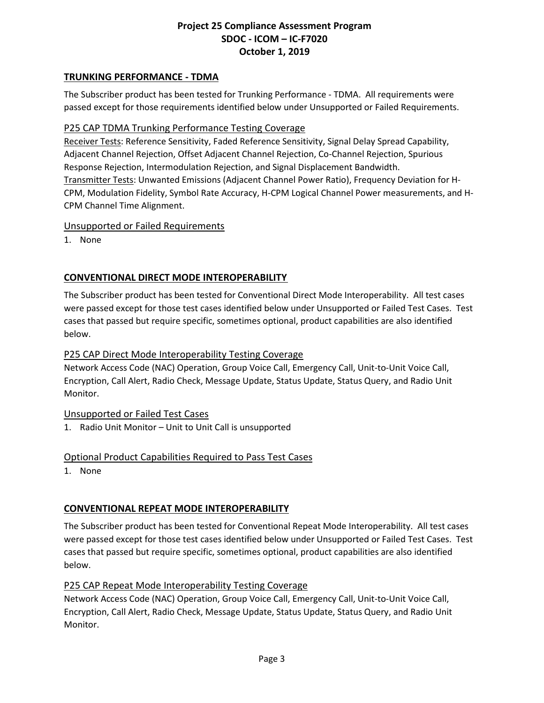## **TRUNKING PERFORMANCE - TDMA**

The Subscriber product has been tested for Trunking Performance - TDMA. All requirements were passed except for those requirements identified below under Unsupported or Failed Requirements.

### P25 CAP TDMA Trunking Performance Testing Coverage

Receiver Tests: Reference Sensitivity, Faded Reference Sensitivity, Signal Delay Spread Capability, Adjacent Channel Rejection, Offset Adjacent Channel Rejection, Co-Channel Rejection, Spurious Response Rejection, Intermodulation Rejection, and Signal Displacement Bandwidth. Transmitter Tests: Unwanted Emissions (Adjacent Channel Power Ratio), Frequency Deviation for H-CPM, Modulation Fidelity, Symbol Rate Accuracy, H-CPM Logical Channel Power measurements, and H-CPM Channel Time Alignment.

### Unsupported or Failed Requirements

1. None

## **CONVENTIONAL DIRECT MODE INTEROPERABILITY**

The Subscriber product has been tested for Conventional Direct Mode Interoperability. All test cases were passed except for those test cases identified below under Unsupported or Failed Test Cases. Test cases that passed but require specific, sometimes optional, product capabilities are also identified below.

### P25 CAP Direct Mode Interoperability Testing Coverage

Network Access Code (NAC) Operation, Group Voice Call, Emergency Call, Unit-to-Unit Voice Call, Encryption, Call Alert, Radio Check, Message Update, Status Update, Status Query, and Radio Unit Monitor.

### Unsupported or Failed Test Cases

1. Radio Unit Monitor – Unit to Unit Call is unsupported

### Optional Product Capabilities Required to Pass Test Cases

1. None

### **CONVENTIONAL REPEAT MODE INTEROPERABILITY**

The Subscriber product has been tested for Conventional Repeat Mode Interoperability. All test cases were passed except for those test cases identified below under Unsupported or Failed Test Cases. Test cases that passed but require specific, sometimes optional, product capabilities are also identified below.

### P25 CAP Repeat Mode Interoperability Testing Coverage

Network Access Code (NAC) Operation, Group Voice Call, Emergency Call, Unit-to-Unit Voice Call, Encryption, Call Alert, Radio Check, Message Update, Status Update, Status Query, and Radio Unit Monitor.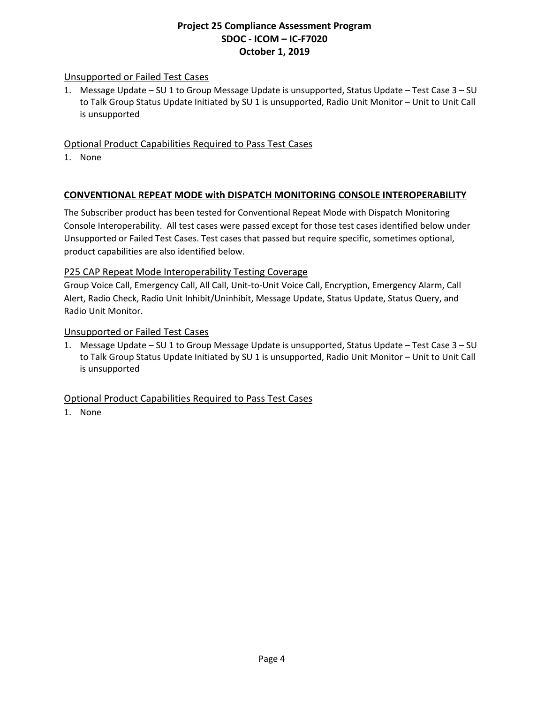## Unsupported or Failed Test Cases

1. Message Update – SU 1 to Group Message Update is unsupported, Status Update – Test Case 3 – SU to Talk Group Status Update Initiated by SU 1 is unsupported, Radio Unit Monitor - Unit to Unit Call is unsupported

## Optional Product Capabilities Required to Pass Test Cases

1. None

### **CONVENTIONAL REPEAT MODE with DISPATCH MONITORING CONSOLE INTEROPERABILITY**

The Subscriber product has been tested for Conventional Repeat Mode with Dispatch Monitoring Console Interoperability. All test cases were passed except for those test cases identified below under Unsupported or Failed Test Cases. Test cases that passed but require specific, sometimes optional, product capabilities are also identified below.

### P25 CAP Repeat Mode Interoperability Testing Coverage

Group Voice Call, Emergency Call, All Call, Unit-to-Unit Voice Call, Encryption, Emergency Alarm, Call Alert, Radio Check, Radio Unit Inhibit/Uninhibit, Message Update, Status Update, Status Query, and Radio Unit Monitor.

### Unsupported or Failed Test Cases

1. Message Update – SU 1 to Group Message Update is unsupported, Status Update – Test Case 3 – SU to Talk Group Status Update Initiated by SU 1 is unsupported, Radio Unit Monitor – Unit to Unit Call is unsupported

### Optional Product Capabilities Required to Pass Test Cases

1. None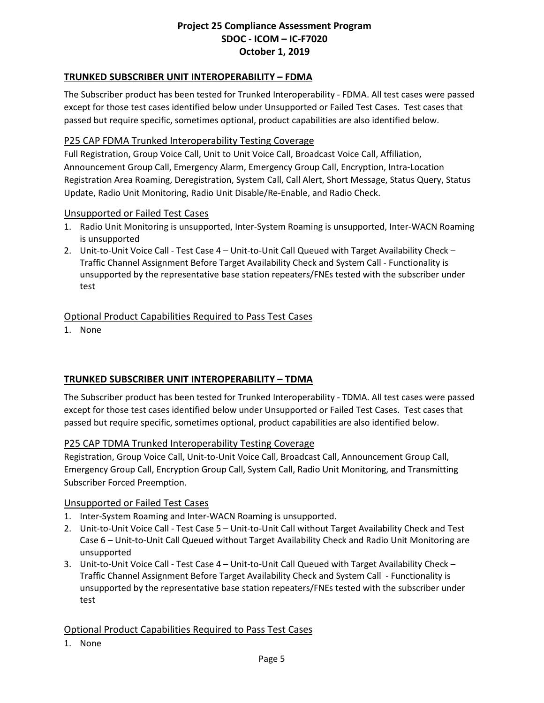## **TRUNKED SUBSCRIBER UNIT INTEROPERABILITY – FDMA**

The Subscriber product has been tested for Trunked Interoperability - FDMA. All test cases were passed except for those test cases identified below under Unsupported or Failed Test Cases. Test cases that passed but require specific, sometimes optional, product capabilities are also identified below.

### P25 CAP FDMA Trunked Interoperability Testing Coverage

Full Registration, Group Voice Call, Unit to Unit Voice Call, Broadcast Voice Call, Affiliation, Announcement Group Call, Emergency Alarm, Emergency Group Call, Encryption, Intra-Location Registration Area Roaming, Deregistration, System Call, Call Alert, Short Message, Status Query, Status Update, Radio Unit Monitoring, Radio Unit Disable/Re-Enable, and Radio Check.

#### Unsupported or Failed Test Cases

- 1. Radio Unit Monitoring is unsupported, Inter-System Roaming is unsupported, Inter-WACN Roaming is unsupported
- 2. Unit-to-Unit Voice Call Test Case 4 Unit-to-Unit Call Queued with Target Availability Check Traffic Channel Assignment Before Target Availability Check and System Call - Functionality is unsupported by the representative base station repeaters/FNEs tested with the subscriber under test

### Optional Product Capabilities Required to Pass Test Cases

1. None

### **TRUNKED SUBSCRIBER UNIT INTEROPERABILITY – TDMA**

The Subscriber product has been tested for Trunked Interoperability - TDMA. All test cases were passed except for those test cases identified below under Unsupported or Failed Test Cases. Test cases that passed but require specific, sometimes optional, product capabilities are also identified below.

### P25 CAP TDMA Trunked Interoperability Testing Coverage

Registration, Group Voice Call, Unit-to-Unit Voice Call, Broadcast Call, Announcement Group Call, Emergency Group Call, Encryption Group Call, System Call, Radio Unit Monitoring, and Transmitting Subscriber Forced Preemption.

#### Unsupported or Failed Test Cases

- 1. Inter-System Roaming and Inter-WACN Roaming is unsupported.
- 2. Unit-to-Unit Voice Call Test Case 5 Unit-to-Unit Call without Target Availability Check and Test Case 6 – Unit-to-Unit Call Queued without Target Availability Check and Radio Unit Monitoring are unsupported
- 3. Unit-to-Unit Voice Call Test Case 4 Unit-to-Unit Call Queued with Target Availability Check Traffic Channel Assignment Before Target Availability Check and System Call - Functionality is unsupported by the representative base station repeaters/FNEs tested with the subscriber under test

### Optional Product Capabilities Required to Pass Test Cases

1. None